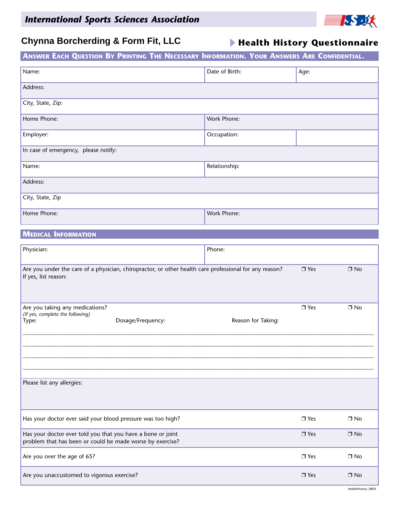

### **Chynna Borcherding & Form Fit, LLC**

**Health History Questionnaire**

| ANSWER EACH QUESTION BY PRINTING THE NECESSARY INFORMATION. YOUR ANSWERS ARE CONFIDENTIAL. |                |      |  |
|--------------------------------------------------------------------------------------------|----------------|------|--|
| Name:                                                                                      | Date of Birth: | Age: |  |
| Address:                                                                                   |                |      |  |
| City, State, Zip:                                                                          |                |      |  |
| Home Phone:                                                                                | Work Phone:    |      |  |
| Employer:                                                                                  | Occupation:    |      |  |
| In case of emergency, please notify:                                                       |                |      |  |
| Name:                                                                                      | Relationship:  |      |  |
| Address:                                                                                   |                |      |  |
| City, State, Zip                                                                           |                |      |  |
| Home Phone:                                                                                | Work Phone:    |      |  |

#### **MEDICAL INFORMATION**

| Physician:                                                                                                                     | Phone:             |            |           |
|--------------------------------------------------------------------------------------------------------------------------------|--------------------|------------|-----------|
| Are you under the care of a physician, chiropractor, or other health care professional for any reason?<br>If yes, list reason: |                    | $\Box$ Yes | $\Box$ No |
| Are you taking any medications?<br>(If yes, complete the following)<br>Dosage/Frequency:<br>Type:                              | Reason for Taking: | $\Box$ Yes | $\Box$ No |
|                                                                                                                                |                    |            |           |
| Please list any allergies:                                                                                                     |                    |            |           |
| Has your doctor ever said your blood pressure was too high?                                                                    |                    | $\Box$ Yes | $\Box$ No |
| Has your doctor ever told you that you have a bone or joint<br>problem that has been or could be made worse by exercise?       |                    | $\Box$ Yes | $\Box$ No |
| Are you over the age of 65?                                                                                                    |                    | $\Box$ Yes | $\Box$ No |
| Are you unaccustomed to vigorous exercise?                                                                                     |                    | $\Box$ Yes | $\Box$ No |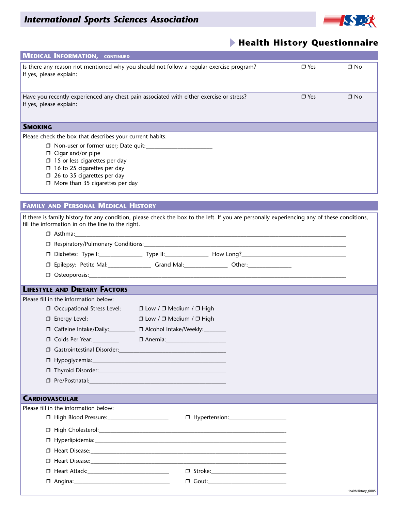

#### **Health History Questionnaire**

|                         | <b>MEDICAL INFORMATION, CONTINUED</b>                                                                                                                                                                              |                                          |                                      |            |           |
|-------------------------|--------------------------------------------------------------------------------------------------------------------------------------------------------------------------------------------------------------------|------------------------------------------|--------------------------------------|------------|-----------|
| If yes, please explain: | Is there any reason not mentioned why you should not follow a regular exercise program?                                                                                                                            |                                          |                                      | $\Box$ Yes | $\Box$ No |
| If yes, please explain: | Have you recently experienced any chest pain associated with either exercise or stress?                                                                                                                            |                                          |                                      | $\Box$ Yes | $\Box$ No |
| <b>SMOKING</b>          |                                                                                                                                                                                                                    |                                          |                                      |            |           |
|                         | Please check the box that describes your current habits:                                                                                                                                                           |                                          |                                      |            |           |
|                         | $\Box$ Cigar and/or pipe<br>$\Box$ 15 or less cigarettes per day<br>$\Box$ 16 to 25 cigarettes per day<br>$\Box$ 26 to 35 cigarettes per day<br>$\Box$ More than 35 cigarettes per day                             |                                          |                                      |            |           |
|                         |                                                                                                                                                                                                                    |                                          |                                      |            |           |
|                         | <b>FAMILY AND PERSONAL MEDICAL HISTORY</b>                                                                                                                                                                         |                                          |                                      |            |           |
|                         | If there is family history for any condition, please check the box to the left. If you are personally experiencing any of these conditions,<br>fill the information in on the line to the right.<br>$\Box$ Asthma: |                                          |                                      |            |           |
|                         |                                                                                                                                                                                                                    |                                          |                                      |            |           |
|                         |                                                                                                                                                                                                                    |                                          |                                      |            |           |
|                         | □ Epilepsy: Petite Mal: ____________________Grand Mal: ________________________ Other: __________________                                                                                                          |                                          |                                      |            |           |
|                         |                                                                                                                                                                                                                    |                                          |                                      |            |           |
|                         | <b>LIFESTYLE AND DIETARY FACTORS</b>                                                                                                                                                                               |                                          |                                      |            |           |
|                         | Please fill in the information below:                                                                                                                                                                              |                                          |                                      |            |           |
|                         | □ Occupational Stress Level:                                                                                                                                                                                       | $\Box$ Low / $\Box$ Medium / $\Box$ High |                                      |            |           |
|                         | $\square$ Energy Level:                                                                                                                                                                                            | $\Box$ Low / $\Box$ Medium / $\Box$ High |                                      |            |           |
|                         | □ Caffeine Intake/Daily:                                                                                                                                                                                           | □ Alcohol Intake/Weekly:                 |                                      |            |           |
|                         | O Colds Per Year:                                                                                                                                                                                                  |                                          |                                      |            |           |
|                         |                                                                                                                                                                                                                    |                                          |                                      |            |           |
|                         |                                                                                                                                                                                                                    |                                          |                                      |            |           |
|                         |                                                                                                                                                                                                                    |                                          |                                      |            |           |
|                         |                                                                                                                                                                                                                    |                                          |                                      |            |           |
|                         |                                                                                                                                                                                                                    |                                          |                                      |            |           |
| <b>CARDIOVASCULAR</b>   | Please fill in the information below:                                                                                                                                                                              |                                          |                                      |            |           |
|                         |                                                                                                                                                                                                                    |                                          |                                      |            |           |
|                         |                                                                                                                                                                                                                    |                                          |                                      |            |           |
|                         |                                                                                                                                                                                                                    |                                          |                                      |            |           |
|                         |                                                                                                                                                                                                                    |                                          |                                      |            |           |
|                         |                                                                                                                                                                                                                    |                                          |                                      |            |           |
|                         |                                                                                                                                                                                                                    |                                          |                                      |            |           |
|                         |                                                                                                                                                                                                                    |                                          | D Gout:_____________________________ |            |           |
|                         |                                                                                                                                                                                                                    |                                          |                                      |            |           |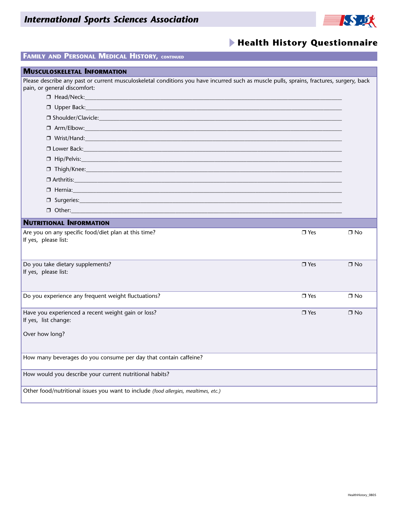### *International Sports Sciences Association*



### **Health History Questionnaire**

#### **FAMILY AND PERSONAL MEDICAL HISTORY, CONTINUED**

| <b>MUSCULOSKELETAL INFORMATION</b>                                                                                                                                       |             |           |
|--------------------------------------------------------------------------------------------------------------------------------------------------------------------------|-------------|-----------|
| Please describe any past or current musculoskeletal conditions you have incurred such as muscle pulls, sprains, fractures, surgery, back<br>pain, or general discomfort: |             |           |
|                                                                                                                                                                          |             |           |
| $\Box$ Upper Back: $\Box$                                                                                                                                                |             |           |
|                                                                                                                                                                          |             |           |
|                                                                                                                                                                          |             |           |
|                                                                                                                                                                          |             |           |
|                                                                                                                                                                          |             |           |
|                                                                                                                                                                          |             |           |
|                                                                                                                                                                          |             |           |
|                                                                                                                                                                          |             |           |
| 0 Hernia: 2008 - 2008 - 2019 - 2019 - 2019 - 2019 - 2019 - 2019 - 2019 - 2019 - 2019 - 2019 - 2019 - 2019 - 20                                                           |             |           |
|                                                                                                                                                                          |             |           |
| $\Box$ Other:                                                                                                                                                            |             |           |
| <b>NUTRITIONAL INFORMATION</b>                                                                                                                                           |             |           |
| Are you on any specific food/diet plan at this time?<br>If yes, please list:                                                                                             | $\Box$ Yes  | $\Box$ No |
| Do you take dietary supplements?                                                                                                                                         | $\n  Yes\n$ | $\Box$ No |
| If yes, please list:                                                                                                                                                     |             |           |
| Do you experience any frequent weight fluctuations?                                                                                                                      | $\Box$ Yes  | $\Box$ No |
| Have you experienced a recent weight gain or loss?                                                                                                                       | $\Box$ Yes  | $\Box$ No |
| If yes, list change:                                                                                                                                                     |             |           |
| Over how long?                                                                                                                                                           |             |           |
| How many beverages do you consume per day that contain caffeine?                                                                                                         |             |           |
| How would you describe your current nutritional habits?                                                                                                                  |             |           |
| Other food/nutritional issues you want to include (food allergies, mealtimes, etc.)                                                                                      |             |           |